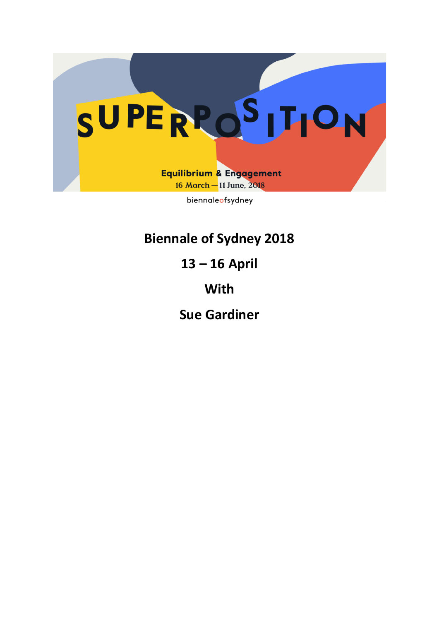

**Biennale of Sydney 2018** 

**13 – 16 April** 

**With** 

**Sue Gardiner**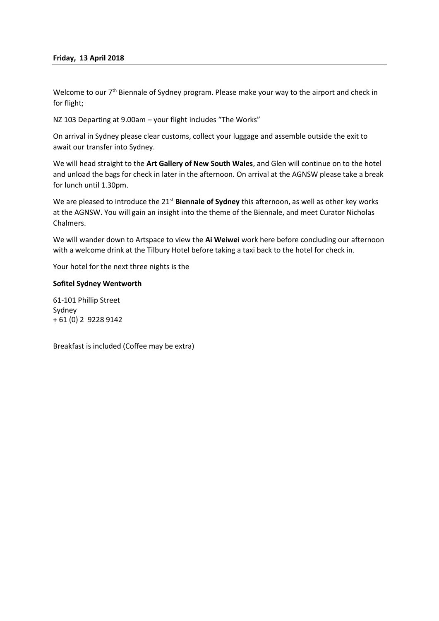## **Friday, 13 April 2018**

Welcome to our 7<sup>th</sup> Biennale of Sydney program. Please make your way to the airport and check in for flight;

NZ 103 Departing at 9.00am – your flight includes "The Works"

On arrival in Sydney please clear customs, collect your luggage and assemble outside the exit to await our transfer into Sydney.

We will head straight to the **Art Gallery of New South Wales**, and Glen will continue on to the hotel and unload the bags for check in later in the afternoon. On arrival at the AGNSW please take a break for lunch until 1.30pm.

We are pleased to introduce the 21<sup>st</sup> Biennale of Sydney this afternoon, as well as other key works at the AGNSW. You will gain an insight into the theme of the Biennale, and meet Curator Nicholas Chalmers.

We will wander down to Artspace to view the **Ai Weiwei** work here before concluding our afternoon with a welcome drink at the Tilbury Hotel before taking a taxi back to the hotel for check in.

Your hotel for the next three nights is the

## **Sofitel Sydney Wentworth**

61-101 Phillip Street Sydney + 61 (0) 2 9228 9142

Breakfast is included (Coffee may be extra)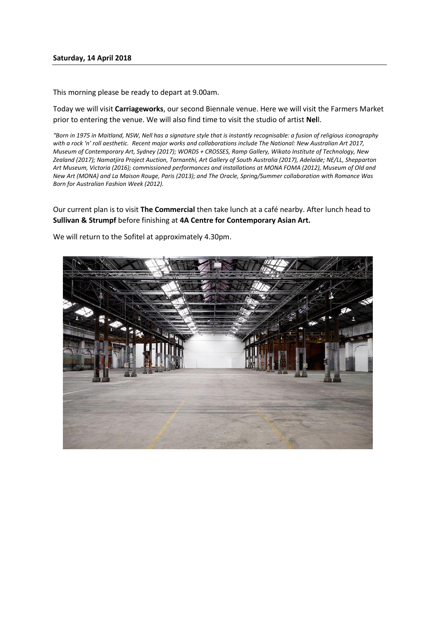This morning please be ready to depart at 9.00am.

Today we will visit **Carriageworks**, our second Biennale venue. Here we will visit the Farmers Market prior to entering the venue. We will also find time to visit the studio of artist **Nel**l.

*"Born in 1975 in Maitland, NSW, Nell has a signature style that is instantly recognisable: a fusion of religious iconography with a rock 'n' roll aesthetic. Recent major works and collaborations include The National: New Australian Art 2017, Museum of Contemporary Art, Sydney (2017); WORDS + CROSSES, Ramp Gallery, Wikato Institute of Technology, New Zealand (2017); Namatjira Project Auction, Tarnanthi, Art Gallery of South Australia (2017), Adelaide; NE/LL, Shepparton Art Museum, Victoria (2016); commissioned performances and installations at MONA FOMA (2012), Museum of Old and New Art (MONA) and La Maison Rouge, Paris (2013); and The Oracle, Spring/Summer collaboration with Romance Was Born for Australian Fashion Week (2012).* 

Our current plan is to visit **The Commercial** then take lunch at a café nearby. After lunch head to **Sullivan & Strumpf** before finishing at **4A Centre for Contemporary Asian Art.** 



We will return to the Sofitel at approximately 4.30pm.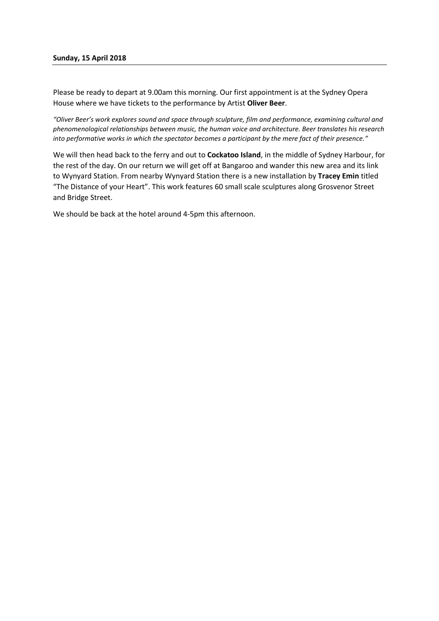## **Sunday, 15 April 2018**

Please be ready to depart at 9.00am this morning. Our first appointment is at the Sydney Opera House where we have tickets to the performance by Artist **Oliver Beer**.

*"Oliver Beer's work explores sound and space through sculpture, film and performance, examining cultural and phenomenological relationships between music, the human voice and architecture. Beer translates his research into performative works in which the spectator becomes a participant by the mere fact of their presence."*

We will then head back to the ferry and out to **Cockatoo Island**, in the middle of Sydney Harbour, for the rest of the day. On our return we will get off at Bangaroo and wander this new area and its link to Wynyard Station. From nearby Wynyard Station there is a new installation by **Tracey Emin** titled "The Distance of your Heart". This work features 60 small scale sculptures along Grosvenor Street and Bridge Street.

We should be back at the hotel around 4-5pm this afternoon.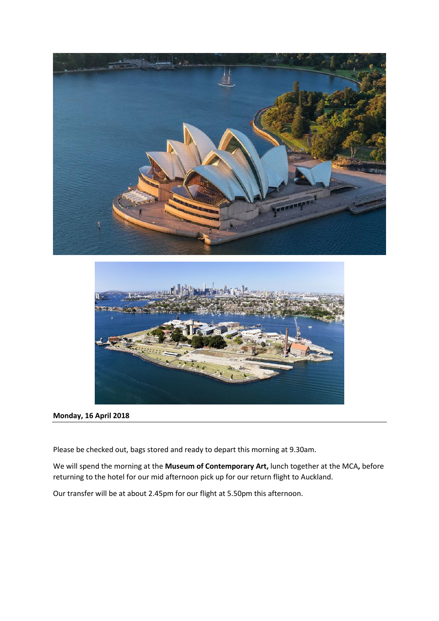



# **Monday, 16 April 2018**

Please be checked out, bags stored and ready to depart this morning at 9.30am.

We will spend the morning at the **Museum of Contemporary Art,** lunch together at the MCA**,** before returning to the hotel for our mid afternoon pick up for our return flight to Auckland.

Our transfer will be at about 2.45pm for our flight at 5.50pm this afternoon.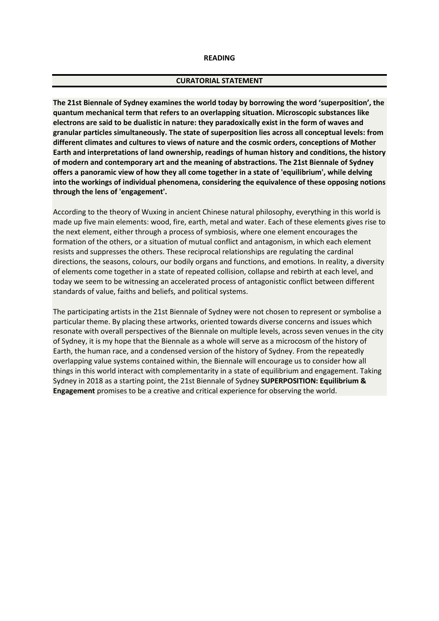#### **READING**

#### **CURATORIAL STATEMENT**

**The 21st Biennale of Sydney examines the world today by borrowing the word 'superposition', the quantum mechanical term that refers to an overlapping situation. Microscopic substances like electrons are said to be dualistic in nature: they paradoxically exist in the form of waves and granular particles simultaneously. The state of superposition lies across all conceptual levels: from different climates and cultures to views of nature and the cosmic orders, conceptions of Mother Earth and interpretations of land ownership, readings of human history and conditions, the history of modern and contemporary art and the meaning of abstractions. The 21st Biennale of Sydney offers a panoramic view of how they all come together in a state of 'equilibrium', while delving into the workings of individual phenomena, considering the equivalence of these opposing notions through the lens of 'engagement'.**

According to the theory of Wuxing in ancient Chinese natural philosophy, everything in this world is made up five main elements: wood, fire, earth, metal and water. Each of these elements gives rise to the next element, either through a process of symbiosis, where one element encourages the formation of the others, or a situation of mutual conflict and antagonism, in which each element resists and suppresses the others. These reciprocal relationships are regulating the cardinal directions, the seasons, colours, our bodily organs and functions, and emotions. In reality, a diversity of elements come together in a state of repeated collision, collapse and rebirth at each level, and today we seem to be witnessing an accelerated process of antagonistic conflict between different standards of value, faiths and beliefs, and political systems.

The participating artists in the 21st Biennale of Sydney were not chosen to represent or symbolise a particular theme. By placing these artworks, oriented towards diverse concerns and issues which resonate with overall perspectives of the Biennale on multiple levels, across seven venues in the city of Sydney, it is my hope that the Biennale as a whole will serve as a microcosm of the history of Earth, the human race, and a condensed version of the history of Sydney. From the repeatedly overlapping value systems contained within, the Biennale will encourage us to consider how all things in this world interact with complementarity in a state of equilibrium and engagement. Taking Sydney in 2018 as a starting point, the 21st Biennale of Sydney **SUPERPOSITION: Equilibrium & Engagement** promises to be a creative and critical experience for observing the world.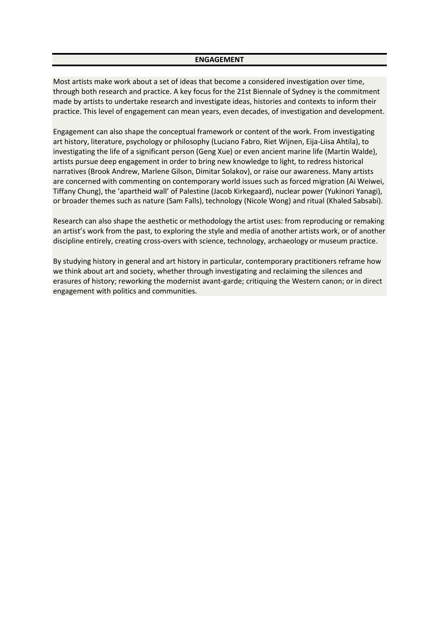#### **ENGAGEMENT**

Most artists make work about a set of ideas that become a considered investigation over time, through both research and practice. A key focus for the 21st Biennale of Sydney is the commitment made by artists to undertake research and investigate ideas, histories and contexts to inform their practice. This level of engagement can mean years, even decades, of investigation and development.

Engagement can also shape the conceptual framework or content of the work. From investigating art history, literature, psychology or philosophy (Luciano Fabro, Riet Wijnen, Eija-Liisa Ahtila), to investigating the life of a significant person (Geng Xue) or even ancient marine life (Martin Walde), artists pursue deep engagement in order to bring new knowledge to light, to redress historical narratives (Brook Andrew, Marlene Gilson, Dimitar Solakov), or raise our awareness. Many artists are concerned with commenting on contemporary world issues such as forced migration (Ai Weiwei, Tiffany Chung), the 'apartheid wall' of Palestine (Jacob Kirkegaard), nuclear power (Yukinori Yanagi), or broader themes such as nature (Sam Falls), technology (Nicole Wong) and ritual (Khaled Sabsabi).

Research can also shape the aesthetic or methodology the artist uses: from reproducing or remaking an artist's work from the past, to exploring the style and media of another artists work, or of another discipline entirely, creating cross-overs with science, technology, archaeology or museum practice.

By studying history in general and art history in particular, contemporary practitioners reframe how we think about art and society, whether through investigating and reclaiming the silences and erasures of history; reworking the modernist avant-garde; critiquing the Western canon; or in direct engagement with politics and communities.